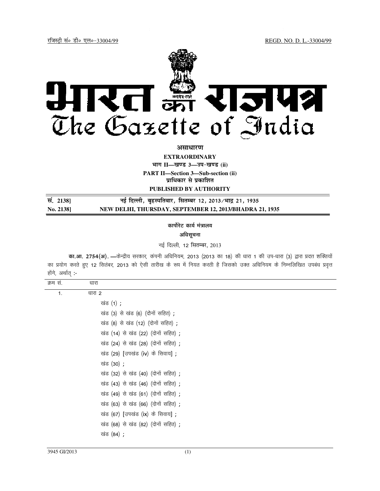REGD. NO. D. L.-33004/99



असाधारण

**EXTRAORDINARY** 

भाग II-खण्ड 3-उप-खण्ड (ii)

**PART II-Section 3-Sub-section (ii)** 

प्राधिकार से प्रकाशित

PUBLISHED BY AUTHORITY

| स. 21381 | नई दिल्ली, बृहस्पतिवार, सितम्बर 12, 2013/भाद्र 21, 1935 |
|----------|---------------------------------------------------------|
| No. 2138 | NEW DELHI, THURSDAY, SEPTEMBER 12, 2013/BHADRA 21, 1935 |

कार्पोरेट कार्य मंत्रालय अधिसूचना

नई दिल्ली, 12 सितम्बर, 2013

का.आ. 2754(अ). —केन्द्रीय सरकार, कंपनी अधिनियम, 2013 (2013 का 18) की धारा 1 की उप-धारा (3) द्वारा प्रदत्त शक्तियों का प्रयोग करते हुए 12 सितंबर, 2013 को ऐसी तारीख के रूप में नियत करती है जिसको उक्त अधिनियम के निम्नलिखित उपबंध प्रवृत्त होंगे, अर्थात् :-

| क्रम सं.       | धारा                               |
|----------------|------------------------------------|
| $\mathbf{1}$ . | धारा 2                             |
|                | खंड (1) ;                          |
|                | खंड (3) से खंड (6) (दोनों सहित) ;  |
|                | खंड (8) से खंड (12) (दोनों सहित);  |
|                | खंड (14) से खंड (22) (दोनों सहित); |
|                | खंड (24) से खंड (28) (दोनों सहित); |
|                | खंड (29) [उपखंड (iv) के सिवाय] ;   |
|                | खंड (30) ;                         |
|                | खंड (32) से खंड (40) (दोनों सहित); |
|                | खंड (43) से खंड (46) (दोनों सहित); |
|                | खंड (49) से खंड (61) (दोनों सहित); |
|                | खंड (63) से खंड (66) (दोनों सहित); |
|                | खंड (67) [उपखंड (ix) के सिवाय] ;   |
|                | खंड (68) से खंड (82) (दोनों सहित); |
|                | खंड (84) ;                         |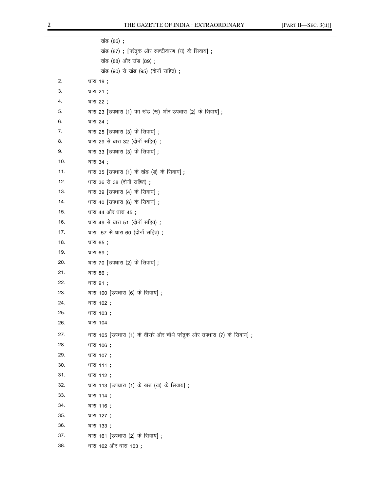|     | खंड (86) ;                                                            |
|-----|-----------------------------------------------------------------------|
|     | खंड (87) ; [परंतुक और स्पष्टीकरण (घ) के सिवाय] ;                      |
|     | खंड (88) और खंड (89) ;                                                |
|     | खंड (90) से खंड (95) (दोनों सहित);                                    |
| 2.  | धारा 19;                                                              |
| 3.  | धारा 21;                                                              |
| 4.  | धारा 22 ;                                                             |
| 5.  | धारा 23 [उपधारा (1) का खंड (ख) और उपधारा (2) के सिवाय];               |
| 6.  | धारा 24 ;                                                             |
| 7.  | धारा 25 [उपधारा (3) के सिवाय] ;                                       |
| 8.  | धारा 29 से धारा 32 (दोनों सहित);                                      |
| 9.  | धारा 33 [उपधारा (3) के सिवाय] ;                                       |
| 10. | धारा 34;                                                              |
| 11. | धारा 35 [उपधारा (1) के खंड (ड) के सिवाय];                             |
| 12. | धारा 36 से 38 (दोनों सहित);                                           |
| 13. | धारा 39 [उपधारा (4) के सिवाय] ;                                       |
| 14. | धारा 40 [उपधारा (6) के सिवाय] ;                                       |
| 15. | धारा 44 और धारा 45 ;                                                  |
| 16. | धारा 49 से धारा 51 (दोनों सहित);                                      |
| 17. | धारा 57 से धारा 60 (दोनों सहित);                                      |
| 18. | धारा 65 ;                                                             |
| 19. | धारा 69 ;                                                             |
| 20. | धारा 70 [उपधारा (2) के सिवाय] ;                                       |
| 21. | धारा 86 ;                                                             |
| 22. | धारा 91 ;                                                             |
| 23. | धारा 100 [उपधारा (6) के सिवाय] ;                                      |
| 24. | धारा 102 ;                                                            |
| 25. | धारा 103 ;                                                            |
| 26. | धारा 104                                                              |
| 27. | धारा 105 [उपधारा (1) के तीसरे और चौथे परंतुक और उपधारा (7) के सिवाय]; |
| 28. | धारा 106 ;                                                            |
| 29. | धारा 107 ;                                                            |
| 30. | धारा 111;                                                             |
| 31. | धारा 112;                                                             |
| 32. | धारा 113 [उपधारा (1) के खंड (ख) के सिवाय] ;                           |
| 33. | धारा 114 ;                                                            |
| 34. | धारा 116;                                                             |
| 35. | धारा 127 ;                                                            |
| 36. | धारा 133;                                                             |
| 37. | धारा 161 [उपधारा (2) के सिवाय];                                       |
| 38. | धारा 162 और धारा 163;                                                 |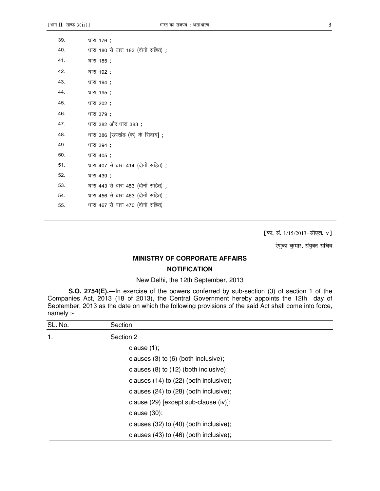| 39. | धारा 176 ;                         |
|-----|------------------------------------|
| 40. | धारा 180 से धारा 183 (दोनों सहित); |
| 41. | धारा 185 ;                         |
| 42. | धारा 192 ;                         |
| 43. | धारा 194 ;                         |
| 44. | धारा 195 ;                         |
| 45. | धारा 202 ;                         |
| 46. | धारा 379 ;                         |
| 47. | धारा 382 और धारा 383;              |
| 48. | धारा 386 [उपखंड (क) के सिवाय] ;    |
| 49. | धारा 394 ;                         |
| 50. | धारा 405 ;                         |
| 51. | धारा 407 से धारा 414 (दोनों सहित); |
| 52. | धारा 439 ;                         |
| 53. | धारा 443 से धारा 453 (दोनों सहित); |
| 54. | धारा 456 से धारा 463 (दोनों सहित); |
| 55. | धारा 467 से धारा 470 (दोनों सहित)  |

[फा. सं. 1/15/2013-सीएल. v]

रेणुका कुमार, संयुक्त सचिव

## **MINISTRY OF CORPORATE AFFAIRS NOTIFICATION**

## New Delhi, the 12th September, 2013

S.O. 2754(E).-In exercise of the powers conferred by sub-section (3) of section 1 of the Companies Act, 2013 (18 of 2013), the Central Government hereby appoints the 12th day of September, 2013 as the date on which the following provisions of the said Act shall come into force, namely :-

| SL. No. | Section                                    |
|---------|--------------------------------------------|
| 1.      | Section 2                                  |
|         | clause $(1)$ ;                             |
|         | clauses $(3)$ to $(6)$ (both inclusive);   |
|         | clauses (8) to (12) (both inclusive);      |
|         | clauses $(14)$ to $(22)$ (both inclusive); |
|         | clauses (24) to (28) (both inclusive);     |
|         | clause (29) [except sub-clause (iv)];      |
|         | clause $(30)$ ;                            |
|         | clauses (32) to (40) (both inclusive);     |
|         | clauses (43) to (46) (both inclusive);     |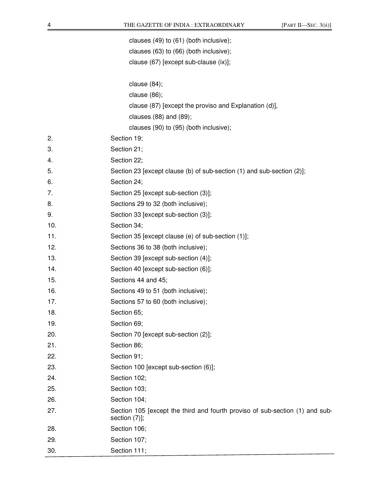|     | clauses (49) to (61) (both inclusive);                                                        |
|-----|-----------------------------------------------------------------------------------------------|
|     | clauses (63) to (66) (both inclusive);                                                        |
|     | clause (67) [except sub-clause (ix)];                                                         |
|     |                                                                                               |
|     | clause $(84)$ ;                                                                               |
|     | clause $(86)$ ;                                                                               |
|     | clause (87) [except the proviso and Explanation (d)],                                         |
|     | clauses (88) and (89);                                                                        |
|     | clauses (90) to (95) (both inclusive);                                                        |
| 2.  | Section 19;                                                                                   |
| 3.  | Section 21;                                                                                   |
| 4.  | Section 22;                                                                                   |
| 5.  | Section 23 [except clause (b) of sub-section (1) and sub-section (2)];                        |
| 6.  | Section 24;                                                                                   |
| 7.  | Section 25 [except sub-section (3)];                                                          |
| 8.  | Sections 29 to 32 (both inclusive);                                                           |
| 9.  | Section 33 [except sub-section (3)];                                                          |
| 10. | Section 34;                                                                                   |
| 11. | Section 35 [except clause (e) of sub-section (1)];                                            |
| 12. | Sections 36 to 38 (both inclusive);                                                           |
| 13. | Section 39 [except sub-section (4)];                                                          |
| 14. | Section 40 [except sub-section (6)];                                                          |
| 15. | Sections 44 and 45;                                                                           |
| 16. | Sections 49 to 51 (both inclusive);                                                           |
| 17. | Sections 57 to 60 (both inclusive);                                                           |
| 18. | Section 65;                                                                                   |
| 19. | Section 69;                                                                                   |
| 20. | Section 70 [except sub-section (2)];                                                          |
| 21. | Section 86;                                                                                   |
| 22. | Section 91;                                                                                   |
| 23. | Section 100 [except sub-section (6)];                                                         |
| 24. | Section 102;                                                                                  |
| 25. | Section 103;                                                                                  |
| 26. | Section 104;                                                                                  |
| 27. | Section 105 [except the third and fourth proviso of sub-section (1) and sub-<br>section (7)]; |
| 28. | Section 106;                                                                                  |
| 29. | Section 107;                                                                                  |
| 30. | Section 111;                                                                                  |